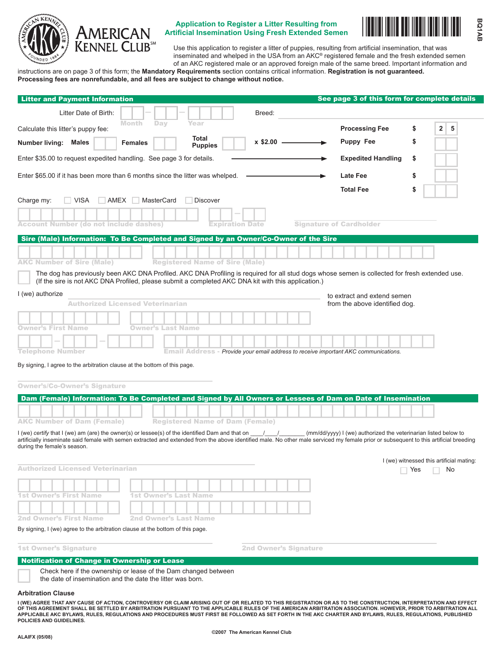

# **Application to Register a Litter Resulting from**<br>Artificial Insemination Using Fresh Extended Semen



Use this application to register a litter of puppies, resulting from artificial insemination, that was inseminated and whelped in the USA from an AKC® registered female and the fresh extended semen of an AKC registered male or an approved foreign male of the same breed. Important information and

instructions are on page 3 of this form; the **Mandatory Requirements** section contains critical information. **Registration is not guaranteed. Processing fees are nonrefundable, and all fees are subject to change without notice.**

| <b>Litter and Payment Information</b>                                                                                                                                                                                           | See page 3 of this form for complete details                    |
|---------------------------------------------------------------------------------------------------------------------------------------------------------------------------------------------------------------------------------|-----------------------------------------------------------------|
| Litter Date of Birth:<br>Breed:                                                                                                                                                                                                 |                                                                 |
| <b>Month</b><br>Day<br>Year<br>Calculate this litter's puppy fee:                                                                                                                                                               | <b>Processing Fee</b><br>$\overline{2}$<br>5<br>\$              |
| Total<br>$x$ \$2.00 $-$<br>Number living: Males<br><b>Females</b><br><b>Puppies</b>                                                                                                                                             | Puppy Fee<br>S                                                  |
| Enter \$35.00 to request expedited handling. See page 3 for details.                                                                                                                                                            | <b>Expedited Handling</b><br>\$                                 |
| Enter \$65.00 if it has been more than 6 months since the litter was whelped.                                                                                                                                                   | <b>Late Fee</b><br>\$                                           |
|                                                                                                                                                                                                                                 | <b>Total Fee</b><br>\$                                          |
| <b>VISA</b><br>AMEX<br>MasterCard<br>Charge my:<br>Discover                                                                                                                                                                     |                                                                 |
|                                                                                                                                                                                                                                 |                                                                 |
| <b>Account Number (do not include dashes)</b><br><b>Expiration Date</b>                                                                                                                                                         | <b>Signature of Cardholder</b>                                  |
| Sire (Male) Information: To Be Completed and Signed by an Owner/Co-Owner of the Sire                                                                                                                                            |                                                                 |
| <b>AKC Number of Sire (Male)</b><br><b>Registered Name of Sire (Male)</b>                                                                                                                                                       |                                                                 |
| I (we) authorize<br><b>Authorized Licensed Veterinarian</b><br><b>Owner's First Name</b><br>Owner's Last Name<br><b>Telephone Number</b><br>Email Address - Provide your email address to receive important AKC communications. | to extract and extend semen<br>from the above identified dog.   |
| By signing, I agree to the arbitration clause at the bottom of this page.<br><b>Owner's/Co-Owner's Signature</b>                                                                                                                |                                                                 |
| Dam (Female) Information: To Be Completed and Signed by All Owners or Lessees of Dam on Date of Insemination                                                                                                                    |                                                                 |
| <b>AKC Number of Dam (Female)</b><br><b>Registered Name of Dam (Female)</b><br>I (we) certify that I (we) am (are) the owner(s) or lessee(s) of the identified Dam and that on $\frac{1}{\sqrt{2}}$                             | (mm/dd/yyyy) I (we) authorized the veterinarian listed below to |
| artificially inseminate said female with semen extracted and extended from the above identified male. No other male serviced my female prior or subsequent to this artificial breeding<br>during the female's season.           |                                                                 |
| <b>Authorized Licensed Veterinarian</b>                                                                                                                                                                                         | I (we) witnessed this artificial mating:<br>Yes<br>No           |
|                                                                                                                                                                                                                                 |                                                                 |
| <b>1st Owner's First Name</b><br>1st Owner's Last Name                                                                                                                                                                          |                                                                 |
| <b>2nd Owner's First Name</b><br><b>2nd Owner's Last Name</b>                                                                                                                                                                   |                                                                 |
| By signing, I (we) agree to the arbitration clause at the bottom of this page.                                                                                                                                                  |                                                                 |
| <b>1st Owner's Signature</b><br><b>2nd Owner's Signature</b>                                                                                                                                                                    |                                                                 |
| Notification of Change in Ownership or Lease                                                                                                                                                                                    |                                                                 |
| Check here if the ownership or lease of the Dam changed between                                                                                                                                                                 |                                                                 |

the date of insemination and the date the litter was born.

#### **Arbitration Clause**

I (WE) AGREE THAT ANY CAUSE OF ACTION, CONTROVERSY OR CLAIM ARISING OUT OF OR RELATED TO THIS REGISTRATION OR AS TO THE CONSTRUCTION, INTERPRETATION AND EFFEC<br>OF THIS AGREEMENT SHALL BE SETTLED BY ARBITRATION PURSUANT TO T **applicable AKC Bylaws, rules, REGULATIONS and procedures must first be followed as set forth in the AKC Charter and Bylaws, rules, REGULATIONS, published policies and guidElines.**

٠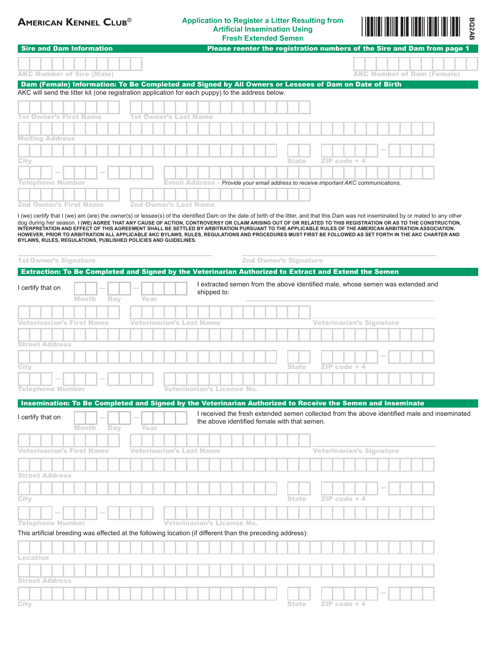## **American Kennel Club**® **Application to Register a Litter Resulting from Artificial Insemination Using Fresh Extended Semen**



| <b>Sire and Dam Information</b><br>Please reenter the registration numbers of the Sire and Dam from page 1<br><b>AKC Number of Sire (Male)</b><br><b>AKC Number of Dam (Female)</b><br>Dam (Female) Information: To Be Completed and Signed by All Owners or Lessees of Dam on Date of Birth<br>AKC will send the litter kit (one registration application for each puppy) to the address below.                                                                                                                                                                                                                                                                                                                                           |
|--------------------------------------------------------------------------------------------------------------------------------------------------------------------------------------------------------------------------------------------------------------------------------------------------------------------------------------------------------------------------------------------------------------------------------------------------------------------------------------------------------------------------------------------------------------------------------------------------------------------------------------------------------------------------------------------------------------------------------------------|
|                                                                                                                                                                                                                                                                                                                                                                                                                                                                                                                                                                                                                                                                                                                                            |
|                                                                                                                                                                                                                                                                                                                                                                                                                                                                                                                                                                                                                                                                                                                                            |
|                                                                                                                                                                                                                                                                                                                                                                                                                                                                                                                                                                                                                                                                                                                                            |
|                                                                                                                                                                                                                                                                                                                                                                                                                                                                                                                                                                                                                                                                                                                                            |
|                                                                                                                                                                                                                                                                                                                                                                                                                                                                                                                                                                                                                                                                                                                                            |
| 1st Owner's First Name<br>1st Owner's Last Name                                                                                                                                                                                                                                                                                                                                                                                                                                                                                                                                                                                                                                                                                            |
|                                                                                                                                                                                                                                                                                                                                                                                                                                                                                                                                                                                                                                                                                                                                            |
| <b>Mailing Address</b>                                                                                                                                                                                                                                                                                                                                                                                                                                                                                                                                                                                                                                                                                                                     |
|                                                                                                                                                                                                                                                                                                                                                                                                                                                                                                                                                                                                                                                                                                                                            |
| $ZIP code + 4$<br><b>State</b><br>City                                                                                                                                                                                                                                                                                                                                                                                                                                                                                                                                                                                                                                                                                                     |
|                                                                                                                                                                                                                                                                                                                                                                                                                                                                                                                                                                                                                                                                                                                                            |
| Telephone Number<br><b>Email Address - Provide your email address to receive important AKC communications.</b>                                                                                                                                                                                                                                                                                                                                                                                                                                                                                                                                                                                                                             |
|                                                                                                                                                                                                                                                                                                                                                                                                                                                                                                                                                                                                                                                                                                                                            |
| <b>2nd Owner's First Name</b><br>2nd Owner's Last Name                                                                                                                                                                                                                                                                                                                                                                                                                                                                                                                                                                                                                                                                                     |
| I (we) certify that I (we) am (are) the owner(s) or lessee(s) of the identified Dam on the date of birth of the litter, and that this Dam was not inseminated by or mated to any other<br>dog during her season. I (WE) AGREE THAT ANY CAUSE OF ACTION, CONTROVERSY OR CLAIM ARISING OUT OF OR RELATED TO THIS REGISTRATION OR AS TO THE CONSTRUCTION,<br>INTERPRETATION AND EFFECT OF THIS AGREEMENT SHALL BE SETTLED BY ARBITRATION PURSUANT TO THE APPLICABLE RULES OF THE AMERICAN ARBITRATION ASSOCIATION.<br>HOWEVER, PRIOR TO ARBITRATION ALL APPLICABLE AKC BYLAWS, RULES, REGULATIONS AND PROCEDURES MUST FIRST BE FOLLOWED AS SET FORTH IN THE AKC CHARTER AND<br>BYLAWS, RULES, REGULATIONS, PUBLISHED POLICIES AND GUIDELINES. |
|                                                                                                                                                                                                                                                                                                                                                                                                                                                                                                                                                                                                                                                                                                                                            |
| <b>1st Owner's Signature</b><br><b>2nd Owner's Signature</b>                                                                                                                                                                                                                                                                                                                                                                                                                                                                                                                                                                                                                                                                               |
| Extraction: To Be Completed and Signed by the Veterinarian Authorized to Extract and Extend the Semen                                                                                                                                                                                                                                                                                                                                                                                                                                                                                                                                                                                                                                      |
| I extracted semen from the above identified male, whose semen was extended and<br>I certify that on                                                                                                                                                                                                                                                                                                                                                                                                                                                                                                                                                                                                                                        |
| shipped to:<br>Month<br>Day<br>Year                                                                                                                                                                                                                                                                                                                                                                                                                                                                                                                                                                                                                                                                                                        |
|                                                                                                                                                                                                                                                                                                                                                                                                                                                                                                                                                                                                                                                                                                                                            |
|                                                                                                                                                                                                                                                                                                                                                                                                                                                                                                                                                                                                                                                                                                                                            |
| <b>Veterinarian's Signature</b><br>Veterinarian's First Name<br>Veterinarian's Last Name                                                                                                                                                                                                                                                                                                                                                                                                                                                                                                                                                                                                                                                   |
|                                                                                                                                                                                                                                                                                                                                                                                                                                                                                                                                                                                                                                                                                                                                            |
| <b>Street Address</b>                                                                                                                                                                                                                                                                                                                                                                                                                                                                                                                                                                                                                                                                                                                      |
|                                                                                                                                                                                                                                                                                                                                                                                                                                                                                                                                                                                                                                                                                                                                            |
| <b>State</b><br>ZIP code + 4<br>City                                                                                                                                                                                                                                                                                                                                                                                                                                                                                                                                                                                                                                                                                                       |
|                                                                                                                                                                                                                                                                                                                                                                                                                                                                                                                                                                                                                                                                                                                                            |
|                                                                                                                                                                                                                                                                                                                                                                                                                                                                                                                                                                                                                                                                                                                                            |
| Veterinarian's License No.                                                                                                                                                                                                                                                                                                                                                                                                                                                                                                                                                                                                                                                                                                                 |
|                                                                                                                                                                                                                                                                                                                                                                                                                                                                                                                                                                                                                                                                                                                                            |
| Insemination: To Be Completed and Signed by the Veterinarian Authorized to Receive the Semen and Inseminate<br>I received the fresh extended semen collected from the above identified male and inseminated<br>the above identified female with that semen.<br><b>Month</b><br>Day<br>Year                                                                                                                                                                                                                                                                                                                                                                                                                                                 |
|                                                                                                                                                                                                                                                                                                                                                                                                                                                                                                                                                                                                                                                                                                                                            |
| <b>Veterinarian's Signature</b><br>Veterinarian's Last Name                                                                                                                                                                                                                                                                                                                                                                                                                                                                                                                                                                                                                                                                                |
|                                                                                                                                                                                                                                                                                                                                                                                                                                                                                                                                                                                                                                                                                                                                            |
|                                                                                                                                                                                                                                                                                                                                                                                                                                                                                                                                                                                                                                                                                                                                            |
|                                                                                                                                                                                                                                                                                                                                                                                                                                                                                                                                                                                                                                                                                                                                            |
|                                                                                                                                                                                                                                                                                                                                                                                                                                                                                                                                                                                                                                                                                                                                            |
| $ZIP code + 4$<br><b>State</b>                                                                                                                                                                                                                                                                                                                                                                                                                                                                                                                                                                                                                                                                                                             |
|                                                                                                                                                                                                                                                                                                                                                                                                                                                                                                                                                                                                                                                                                                                                            |
| <b>Veterinarian's License No.</b>                                                                                                                                                                                                                                                                                                                                                                                                                                                                                                                                                                                                                                                                                                          |
|                                                                                                                                                                                                                                                                                                                                                                                                                                                                                                                                                                                                                                                                                                                                            |
| <b>Telephone Number</b><br>I certify that on<br>Veterinarian's First Name<br><b>Street Address</b><br>City<br><b>Telephone Number</b><br>This artificial breeding was effected at the following location (if different than the preceding address):                                                                                                                                                                                                                                                                                                                                                                                                                                                                                        |
|                                                                                                                                                                                                                                                                                                                                                                                                                                                                                                                                                                                                                                                                                                                                            |
|                                                                                                                                                                                                                                                                                                                                                                                                                                                                                                                                                                                                                                                                                                                                            |
|                                                                                                                                                                                                                                                                                                                                                                                                                                                                                                                                                                                                                                                                                                                                            |
| Location<br><b>Street Address</b>                                                                                                                                                                                                                                                                                                                                                                                                                                                                                                                                                                                                                                                                                                          |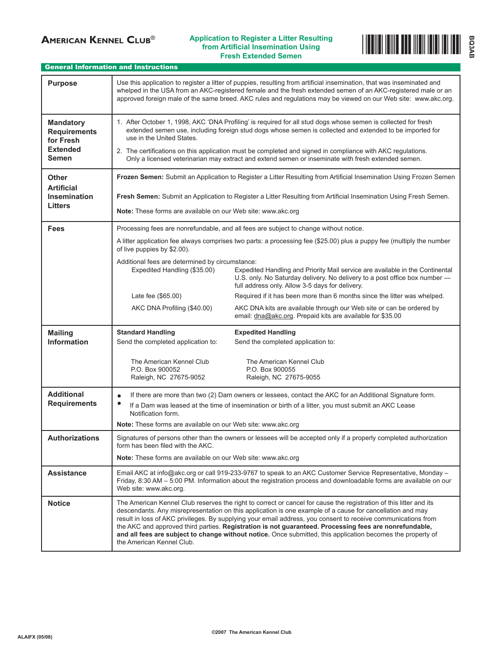## **AMERICAN KENNEL CLUB<sup>®</sup>** Application to Register a Litter Resulting **from Artificial Insemination Using**



#### General Information and Instructions

| <b>Purpose</b>                                                                          | Use this application to register a litter of puppies, resulting from artificial insemination, that was inseminated and<br>whelped in the USA from an AKC-registered female and the fresh extended semen of an AKC-registered male or an<br>approved foreign male of the same breed. AKC rules and regulations may be viewed on our Web site: www.akc.org.                                                                                                                                                                                                                                              |                                                                                                                                                                                                                |
|-----------------------------------------------------------------------------------------|--------------------------------------------------------------------------------------------------------------------------------------------------------------------------------------------------------------------------------------------------------------------------------------------------------------------------------------------------------------------------------------------------------------------------------------------------------------------------------------------------------------------------------------------------------------------------------------------------------|----------------------------------------------------------------------------------------------------------------------------------------------------------------------------------------------------------------|
| <b>Mandatory</b><br><b>Requirements</b><br>for Fresh<br><b>Extended</b><br><b>Semen</b> | 1. After October 1, 1998, AKC 'DNA Profiling' is required for all stud dogs whose semen is collected for fresh<br>extended semen use, including foreign stud dogs whose semen is collected and extended to be imported for<br>use in the United States.<br>2. The certifications on this application must be completed and signed in compliance with AKC regulations.<br>Only a licensed veterinarian may extract and extend semen or inseminate with fresh extended semen.                                                                                                                            |                                                                                                                                                                                                                |
| Other<br><b>Artificial</b><br><b>Insemination</b><br><b>Litters</b>                     | Frozen Semen: Submit an Application to Register a Litter Resulting from Artificial Insemination Using Frozen Semen<br>Fresh Semen: Submit an Application to Register a Litter Resulting from Artificial Insemination Using Fresh Semen.<br>Note: These forms are available on our Web site: www.akc.org                                                                                                                                                                                                                                                                                                |                                                                                                                                                                                                                |
| <b>Fees</b>                                                                             | Processing fees are nonrefundable, and all fees are subject to change without notice.<br>A litter application fee always comprises two parts: a processing fee (\$25.00) plus a puppy fee (multiply the number<br>of live puppies by \$2.00).                                                                                                                                                                                                                                                                                                                                                          |                                                                                                                                                                                                                |
|                                                                                         | Additional fees are determined by circumstance:<br>Expedited Handling (\$35.00)                                                                                                                                                                                                                                                                                                                                                                                                                                                                                                                        | Expedited Handling and Priority Mail service are available in the Continental<br>U.S. only. No Saturday delivery. No delivery to a post office box number -<br>full address only. Allow 3-5 days for delivery. |
|                                                                                         | Late fee (\$65.00)                                                                                                                                                                                                                                                                                                                                                                                                                                                                                                                                                                                     | Required if it has been more than 6 months since the litter was whelped.                                                                                                                                       |
|                                                                                         | AKC DNA Profiling (\$40.00)                                                                                                                                                                                                                                                                                                                                                                                                                                                                                                                                                                            | AKC DNA kits are available through our Web site or can be ordered by<br>email: dna@akc.org. Prepaid kits are available for \$35.00                                                                             |
| <b>Mailing</b><br><b>Information</b>                                                    | <b>Standard Handling</b><br>Send the completed application to:                                                                                                                                                                                                                                                                                                                                                                                                                                                                                                                                         | <b>Expedited Handling</b><br>Send the completed application to:                                                                                                                                                |
|                                                                                         | The American Kennel Club<br>P.O. Box 900052<br>Raleigh, NC 27675-9052                                                                                                                                                                                                                                                                                                                                                                                                                                                                                                                                  | The American Kennel Club<br>P.O. Box 900055<br>Raleigh, NC 27675-9055                                                                                                                                          |
| <b>Additional</b><br><b>Requirements</b>                                                | If there are more than two (2) Dam owners or lessees, contact the AKC for an Additional Signature form.<br>$\bullet$<br>If a Dam was leased at the time of insemination or birth of a litter, you must submit an AKC Lease<br>Notification form.<br>Note: These forms are available on our Web site: www.akc.org                                                                                                                                                                                                                                                                                       |                                                                                                                                                                                                                |
| Authorizations                                                                          | Signatures of persons other than the owners or lessees will be accepted only if a properly completed authorization                                                                                                                                                                                                                                                                                                                                                                                                                                                                                     |                                                                                                                                                                                                                |
|                                                                                         | form has been filed with the AKC.<br><b>Note:</b> These forms are available on our Web site: www.akc.org                                                                                                                                                                                                                                                                                                                                                                                                                                                                                               |                                                                                                                                                                                                                |
| <b>Assistance</b>                                                                       | Email AKC at info@akc.org or call 919-233-9767 to speak to an AKC Customer Service Representative, Monday -<br>Friday, 8:30 AM – 5:00 PM. Information about the registration process and downloadable forms are available on our<br>Web site: www.akc.org.                                                                                                                                                                                                                                                                                                                                             |                                                                                                                                                                                                                |
| <b>Notice</b>                                                                           | The American Kennel Club reserves the right to correct or cancel for cause the registration of this litter and its<br>descendants. Any misrepresentation on this application is one example of a cause for cancellation and may<br>result in loss of AKC privileges. By supplying your email address, you consent to receive communications from<br>the AKC and approved third parties. Registration is not guaranteed. Processing fees are nonrefundable,<br>and all fees are subject to change without notice. Once submitted, this application becomes the property of<br>the American Kennel Club. |                                                                                                                                                                                                                |